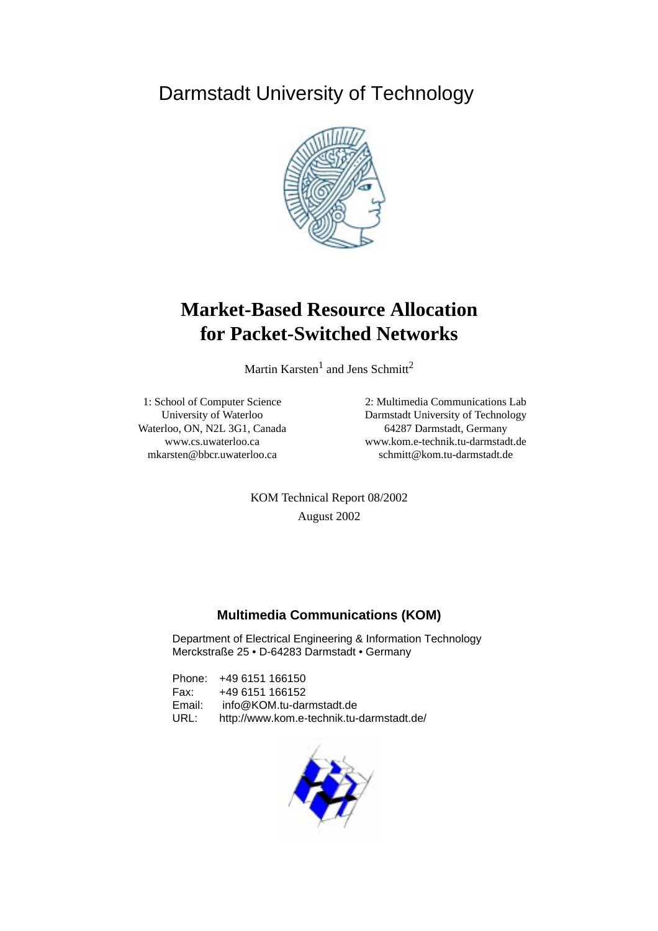<span id="page-0-0"></span>Darmstadt University of Technology



# **Market-Based Resource Allocation for Packet-Switched Networks**

Martin Karsten $^1$  and Jens Schmitt<sup>2</sup>

1: School of Computer Science University of Waterloo Waterloo, ON, N2L 3G1, Canada www.cs.uwaterloo.ca mkarsten@bbcr.uwaterloo.ca

2: Multimedia Communications Lab Darmstadt University of Technology 64287 Darmstadt, Germany www.kom.e-technik.tu-darmstadt.de schmitt@kom.tu-darmstadt.de

KOM Technical Report 08/2002 August 2002

# **Multimedia Communications (KOM)**

Department of Electrical Engineering & Information Technology Merckstraße 25 • D-64283 Darmstadt • Germany

Phone: +49 6151 166150 Fax: +49 6151 166152 Email: info@KOM.tu-darmstadt.de URL: http://www.kom.e-technik.tu-darmstadt.de/

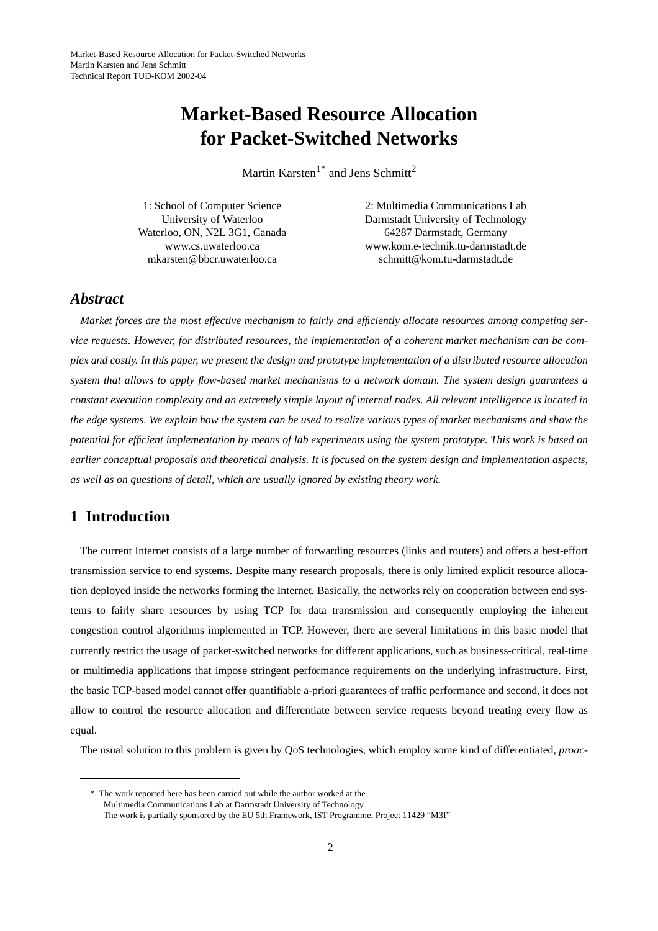# **Market-Based Resource Allocation for Packet-Switched Networks**

Martin Karsten<sup>1\*</sup> and Jens Schmitt<sup>2</sup>

1: School of Computer Science University of Waterloo Waterloo, ON, N2L 3G1, Canada www.cs.uwaterloo.ca mkarsten@bbcr.uwaterloo.ca

2: Multimedia Communications Lab Darmstadt University of Technology 64287 Darmstadt, Germany www.kom.e-technik.tu-darmstadt.de schmitt@kom.tu-darmstadt.de

# *Abstract*

*Market forces are the most effective mechanism to fairly and efficiently allocate resources among competing service requests. However, for distributed resources, the implementation of a coherent market mechanism can be complex and costly. In this paper, we present the design and prototype implementation of a distributed resource allocation system that allows to apply flow-based market mechanisms to a network domain. The system design guarantees a constant execution complexity and an extremely simple layout of internal nodes. All relevant intelligence is located in the edge systems. We explain how the system can be used to realize various types of market mechanisms and show the potential for efficient implementation by means of lab experiments using the system prototype. This work is based on earlier conceptual proposals and theoretical analysis. It is focused on the system design and implementation aspects, as well as on questions of detail, which are usually ignored by existing theory work.*

# **1 Introduction**

The current Internet consists of a large number of forwarding resources (links and routers) and offers a best-effort transmission service to end systems. Despite many research proposals, there is only limited explicit resource allocation deployed inside the networks forming the Internet. Basically, the networks rely on cooperation between end systems to fairly share resources by using TCP for data transmission and consequently employing the inherent congestion control algorithms implemented in TCP. However, there are several limitations in this basic model that currently restrict the usage of packet-switched networks for different applications, such as business-critical, real-time or multimedia applications that impose stringent performance requirements on the underlying infrastructure. First, the basic TCP-based model cannot offer quantifiable a-priori guarantees of traffic performance and second, it does not allow to control the resource allocation and differentiate between service requests beyond treating every flow as equal.

The usual solution to this problem is given by QoS technologies, which employ some kind of differentiated, *proac-*

<sup>\*.</sup> The work reported here has been carried out while the author worked at the Multimedia Communications Lab at Darmstadt University of Technology. The work is partially sponsored by the EU 5th Framework, IST Programme, Project 11429 "M3I"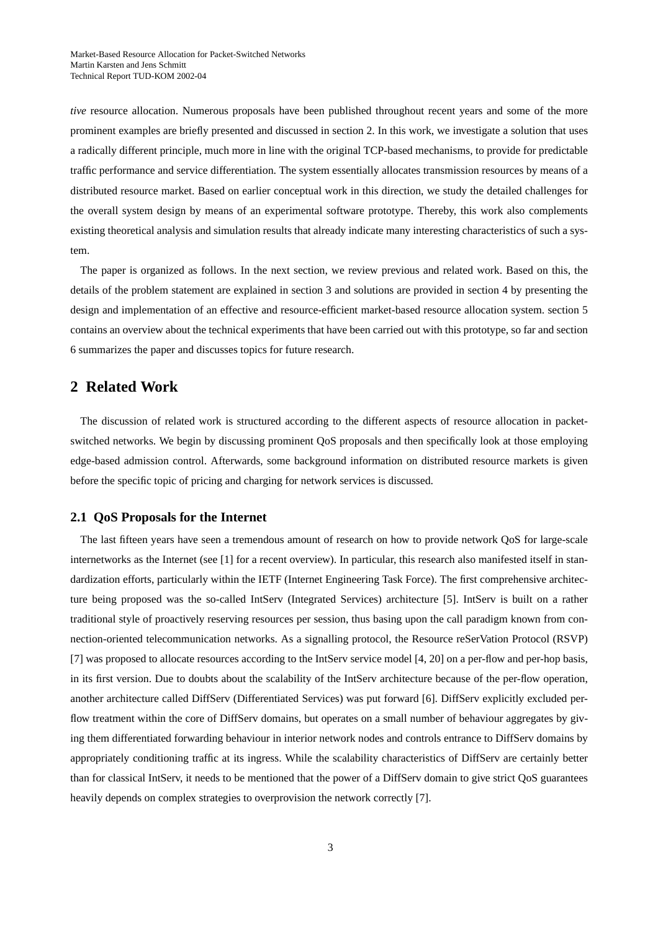*tive* resource allocation. Numerous proposals have been published throughout recent years and some of the more prominent examples are briefly presented and discussed in section 2. In this work, we investigate a solution that uses a radically different principle, much more in line with the original TCP-based mechanisms, to provide for predictable traffic performance and service differentiation. The system essentially allocates transmission resources by means of a distributed resource market. Based on earlier conceptual work in this direction, we study the detailed challenges for the overall system design by means of an experimental software prototype. Thereby, this work also complements existing theoretical analysis and simulation results that already indicate many interesting characteristics of such a system.

The paper is organized as follows. In the next section, we review previous and related work. Based on this, the details of the problem statement are explained in [section 3](#page-4-0) and solutions are provided in [section 4](#page-5-0) by presenting the design and implementation of an effective and resource-efficient market-based resource allocation system. [section 5](#page-11-0) contains an overview about the technical experiments that have been carried out with this prototype, so far and [section](#page-14-0) [6](#page-14-0) summarizes the paper and discusses topics for future research.

# **2 Related Work**

The discussion of related work is structured according to the different aspects of resource allocation in packetswitched networks. We begin by discussing prominent QoS proposals and then specifically look at those employing edge-based admission control. Afterwards, some background information on distributed resource markets is given before the specific topic of pricing and charging for network services is discussed.

## **2.1 QoS Proposals for the Internet**

The last fifteen years have seen a tremendous amount of research on how to provide network QoS for large-scale internetworks as the Internet (see [1] for a recent overview). In particular, this research also manifested itself in standardization efforts, particularly within the IETF (Internet Engineering Task Force). The first comprehensive architecture being proposed was the so-called IntServ (Integrated Services) architecture [5]. IntServ is built on a rather traditional style of proactively reserving resources per session, thus basing upon the call paradigm known from connection-oriented telecommunication networks. As a signalling protocol, the Resource reSerVation Protocol (RSVP) [7] was proposed to allocate resources according to the IntServ service model [4, 20] on a per-flow and per-hop basis, in its first version. Due to doubts about the scalability of the IntServ architecture because of the per-flow operation, another architecture called DiffServ (Differentiated Services) was put forward [6]. DiffServ explicitly excluded perflow treatment within the core of DiffServ domains, but operates on a small number of behaviour aggregates by giving them differentiated forwarding behaviour in interior network nodes and controls entrance to DiffServ domains by appropriately conditioning traffic at its ingress. While the scalability characteristics of DiffServ are certainly better than for classical IntServ, it needs to be mentioned that the power of a DiffServ domain to give strict QoS guarantees heavily depends on complex strategies to overprovision the network correctly [7].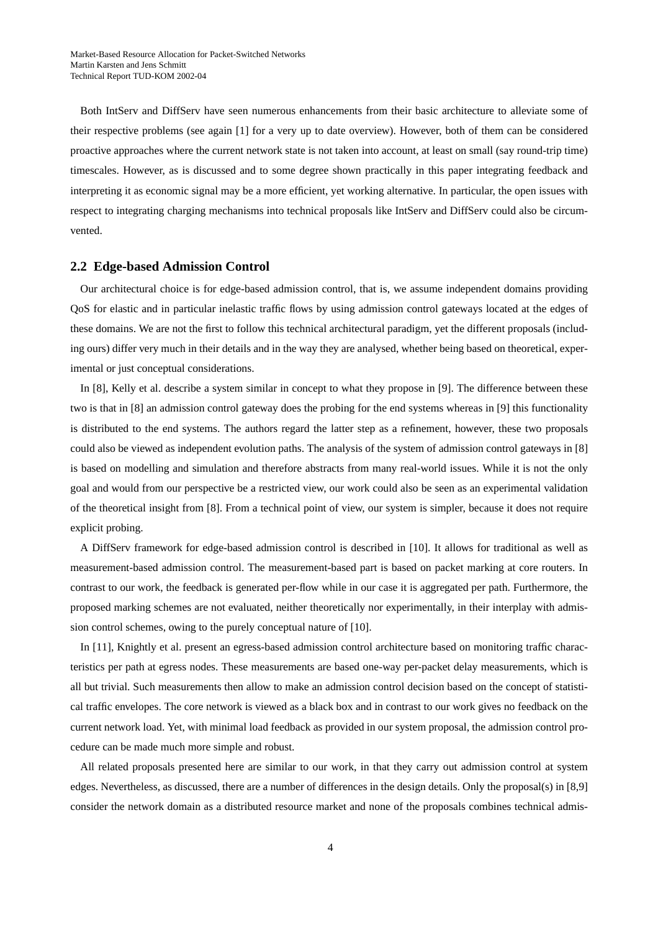Both IntServ and DiffServ have seen numerous enhancements from their basic architecture to alleviate some of their respective problems (see again [1] for a very up to date overview). However, both of them can be considered proactive approaches where the current network state is not taken into account, at least on small (say round-trip time) timescales. However, as is discussed and to some degree shown practically in this paper integrating feedback and interpreting it as economic signal may be a more efficient, yet working alternative. In particular, the open issues with respect to integrating charging mechanisms into technical proposals like IntServ and DiffServ could also be circumvented.

#### **2.2 Edge-based Admission Control**

Our architectural choice is for edge-based admission control, that is, we assume independent domains providing QoS for elastic and in particular inelastic traffic flows by using admission control gateways located at the edges of these domains. We are not the first to follow this technical architectural paradigm, yet the different proposals (including ours) differ very much in their details and in the way they are analysed, whether being based on theoretical, experimental or just conceptual considerations.

In [8], Kelly et al. describe a system similar in concept to what they propose in [9]. The difference between these two is that in [8] an admission control gateway does the probing for the end systems whereas in [9] this functionality is distributed to the end systems. The authors regard the latter step as a refinement, however, these two proposals could also be viewed as independent evolution paths. The analysis of the system of admission control gateways in [8] is based on modelling and simulation and therefore abstracts from many real-world issues. While it is not the only goal and would from our perspective be a restricted view, our work could also be seen as an experimental validation of the theoretical insight from [8]. From a technical point of view, our system is simpler, because it does not require explicit probing.

A DiffServ framework for edge-based admission control is described in [10]. It allows for traditional as well as measurement-based admission control. The measurement-based part is based on packet marking at core routers. In contrast to our work, the feedback is generated per-flow while in our case it is aggregated per path. Furthermore, the proposed marking schemes are not evaluated, neither theoretically nor experimentally, in their interplay with admission control schemes, owing to the purely conceptual nature of [10].

In [11], Knightly et al. present an egress-based admission control architecture based on monitoring traffic characteristics per path at egress nodes. These measurements are based one-way per-packet delay measurements, which is all but trivial. Such measurements then allow to make an admission control decision based on the concept of statistical traffic envelopes. The core network is viewed as a black box and in contrast to our work gives no feedback on the current network load. Yet, with minimal load feedback as provided in our system proposal, the admission control procedure can be made much more simple and robust.

All related proposals presented here are similar to our work, in that they carry out admission control at system edges. Nevertheless, as discussed, there are a number of differences in the design details. Only the proposal(s) in [8,9] consider the network domain as a distributed resource market and none of the proposals combines technical admis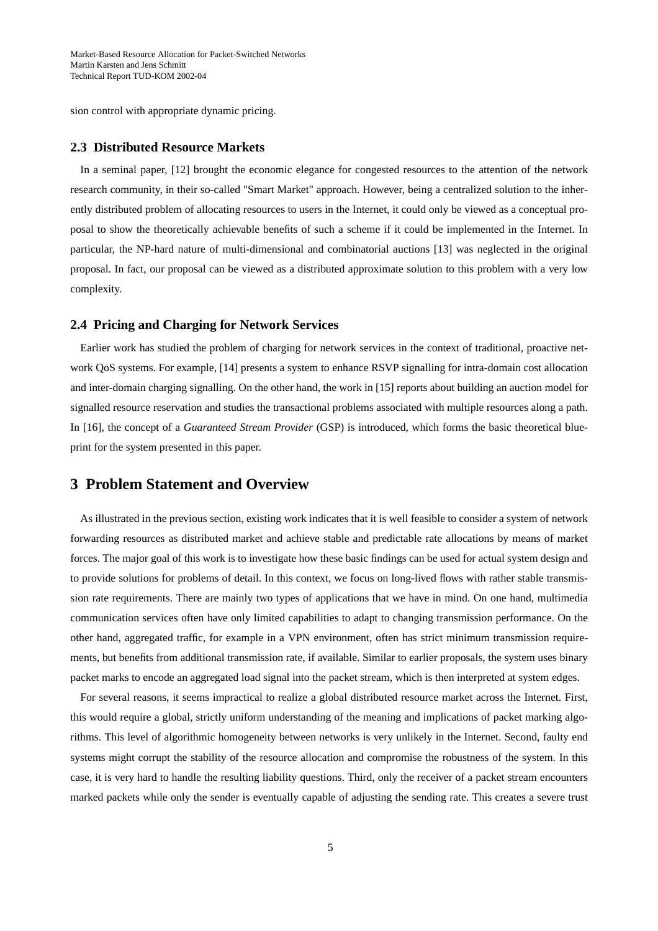<span id="page-4-0"></span>sion control with appropriate dynamic pricing.

# **2.3 Distributed Resource Markets**

In a seminal paper, [12] brought the economic elegance for congested resources to the attention of the network research community, in their so-called "Smart Market" approach. However, being a centralized solution to the inherently distributed problem of allocating resources to users in the Internet, it could only be viewed as a conceptual proposal to show the theoretically achievable benefits of such a scheme if it could be implemented in the Internet. In particular, the NP-hard nature of multi-dimensional and combinatorial auctions [13] was neglected in the original proposal. In fact, our proposal can be viewed as a distributed approximate solution to this problem with a very low complexity.

#### **2.4 Pricing and Charging for Network Services**

Earlier work has studied the problem of charging for network services in the context of traditional, proactive network QoS systems. For example, [14] presents a system to enhance RSVP signalling for intra-domain cost allocation and inter-domain charging signalling. On the other hand, the work in [15] reports about building an auction model for signalled resource reservation and studies the transactional problems associated with multiple resources along a path. In [16], the concept of a *Guaranteed Stream Provider* (GSP) is introduced, which forms the basic theoretical blueprint for the system presented in this paper.

# **3 Problem Statement and Overview**

As illustrated in the previous section, existing work indicates that it is well feasible to consider a system of network forwarding resources as distributed market and achieve stable and predictable rate allocations by means of market forces. The major goal of this work is to investigate how these basic findings can be used for actual system design and to provide solutions for problems of detail. In this context, we focus on long-lived flows with rather stable transmission rate requirements. There are mainly two types of applications that we have in mind. On one hand, multimedia communication services often have only limited capabilities to adapt to changing transmission performance. On the other hand, aggregated traffic, for example in a VPN environment, often has strict minimum transmission requirements, but benefits from additional transmission rate, if available. Similar to earlier proposals, the system uses binary packet marks to encode an aggregated load signal into the packet stream, which is then interpreted at system edges.

For several reasons, it seems impractical to realize a global distributed resource market across the Internet. First, this would require a global, strictly uniform understanding of the meaning and implications of packet marking algorithms. This level of algorithmic homogeneity between networks is very unlikely in the Internet. Second, faulty end systems might corrupt the stability of the resource allocation and compromise the robustness of the system. In this case, it is very hard to handle the resulting liability questions. Third, only the receiver of a packet stream encounters marked packets while only the sender is eventually capable of adjusting the sending rate. This creates a severe trust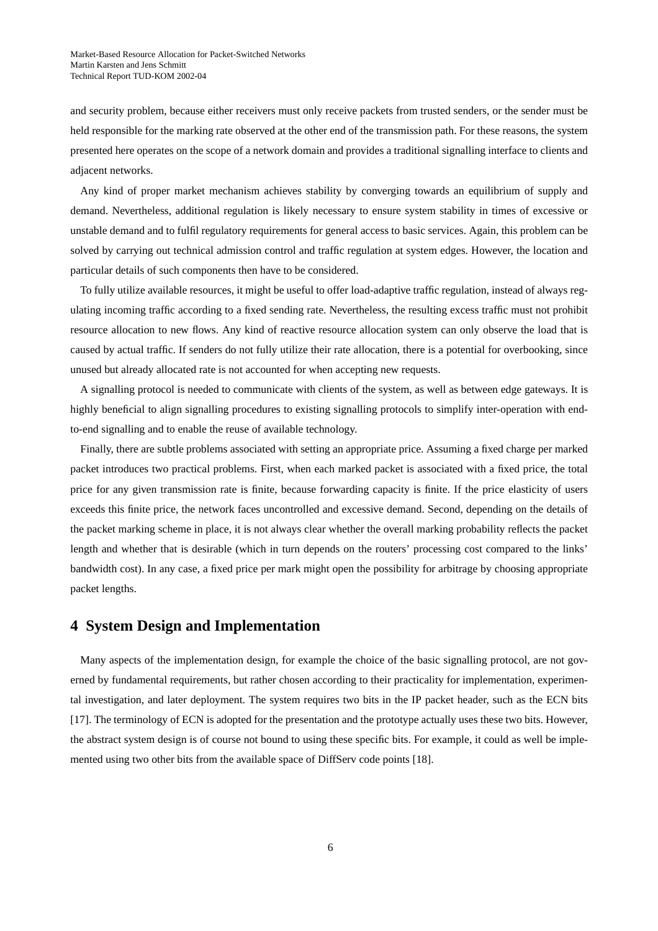<span id="page-5-0"></span>and security problem, because either receivers must only receive packets from trusted senders, or the sender must be held responsible for the marking rate observed at the other end of the transmission path. For these reasons, the system presented here operates on the scope of a network domain and provides a traditional signalling interface to clients and adjacent networks.

Any kind of proper market mechanism achieves stability by converging towards an equilibrium of supply and demand. Nevertheless, additional regulation is likely necessary to ensure system stability in times of excessive or unstable demand and to fulfil regulatory requirements for general access to basic services. Again, this problem can be solved by carrying out technical admission control and traffic regulation at system edges. However, the location and particular details of such components then have to be considered.

To fully utilize available resources, it might be useful to offer load-adaptive traffic regulation, instead of always regulating incoming traffic according to a fixed sending rate. Nevertheless, the resulting excess traffic must not prohibit resource allocation to new flows. Any kind of reactive resource allocation system can only observe the load that is caused by actual traffic. If senders do not fully utilize their rate allocation, there is a potential for overbooking, since unused but already allocated rate is not accounted for when accepting new requests.

A signalling protocol is needed to communicate with clients of the system, as well as between edge gateways. It is highly beneficial to align signalling procedures to existing signalling protocols to simplify inter-operation with endto-end signalling and to enable the reuse of available technology.

Finally, there are subtle problems associated with setting an appropriate price. Assuming a fixed charge per marked packet introduces two practical problems. First, when each marked packet is associated with a fixed price, the total price for any given transmission rate is finite, because forwarding capacity is finite. If the price elasticity of users exceeds this finite price, the network faces uncontrolled and excessive demand. Second, depending on the details of the packet marking scheme in place, it is not always clear whether the overall marking probability reflects the packet length and whether that is desirable (which in turn depends on the routers' processing cost compared to the links' bandwidth cost). In any case, a fixed price per mark might open the possibility for arbitrage by choosing appropriate packet lengths.

# **4 System Design and Implementation**

Many aspects of the implementation design, for example the choice of the basic signalling protocol, are not governed by fundamental requirements, but rather chosen according to their practicality for implementation, experimental investigation, and later deployment. The system requires two bits in the IP packet header, such as the ECN bits [17]. The terminology of ECN is adopted for the presentation and the prototype actually uses these two bits. However, the abstract system design is of course not bound to using these specific bits. For example, it could as well be implemented using two other bits from the available space of DiffServ code points [18].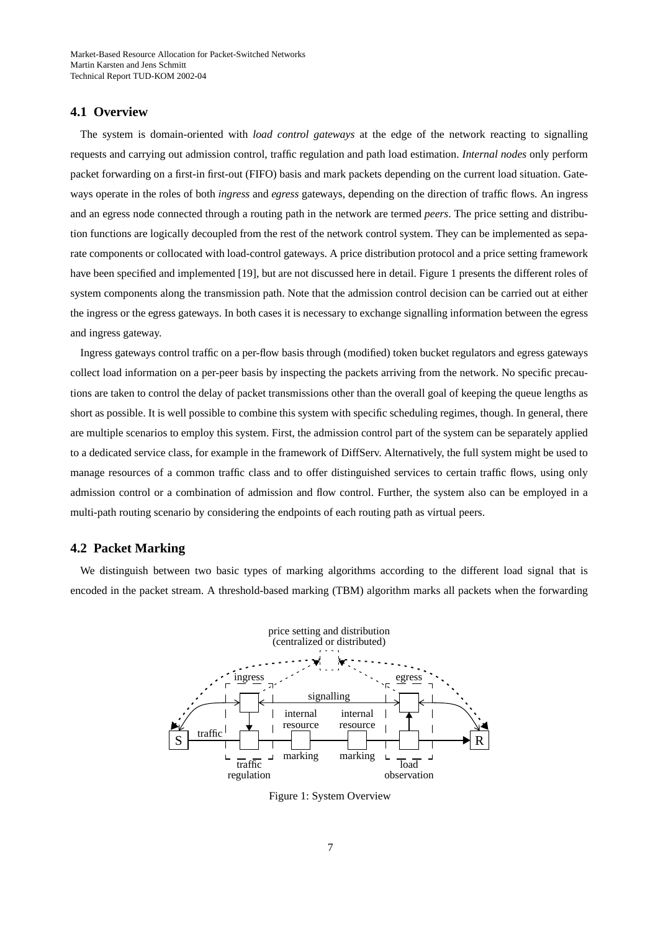## **4.1 Overview**

The system is domain-oriented with *load control gateways* at the edge of the network reacting to signalling requests and carrying out admission control, traffic regulation and path load estimation. *Internal nodes* only perform packet forwarding on a first-in first-out (FIFO) basis and mark packets depending on the current load situation. Gateways operate in the roles of both *ingress* and *egress* gateways, depending on the direction of traffic flows. An ingress and an egress node connected through a routing path in the network are termed *peers*. The price setting and distribution functions are logically decoupled from the rest of the network control system. They can be implemented as separate components or collocated with load-control gateways. A price distribution protocol and a price setting framework have been specified and implemented [19], but are not discussed here in detail. Figure 1 presents the different roles of system components along the transmission path. Note that the admission control decision can be carried out at either the ingress or the egress gateways. In both cases it is necessary to exchange signalling information between the egress and ingress gateway.

Ingress gateways control traffic on a per-flow basis through (modified) token bucket regulators and egress gateways collect load information on a per-peer basis by inspecting the packets arriving from the network. No specific precautions are taken to control the delay of packet transmissions other than the overall goal of keeping the queue lengths as short as possible. It is well possible to combine this system with specific scheduling regimes, though. In general, there are multiple scenarios to employ this system. First, the admission control part of the system can be separately applied to a dedicated service class, for example in the framework of DiffServ. Alternatively, the full system might be used to manage resources of a common traffic class and to offer distinguished services to certain traffic flows, using only admission control or a combination of admission and flow control. Further, the system also can be employed in a multi-path routing scenario by considering the endpoints of each routing path as virtual peers.

### **4.2 Packet Marking**

We distinguish between two basic types of marking algorithms according to the different load signal that is encoded in the packet stream. A threshold-based marking (TBM) algorithm marks all packets when the forwarding



Figure 1: System Overview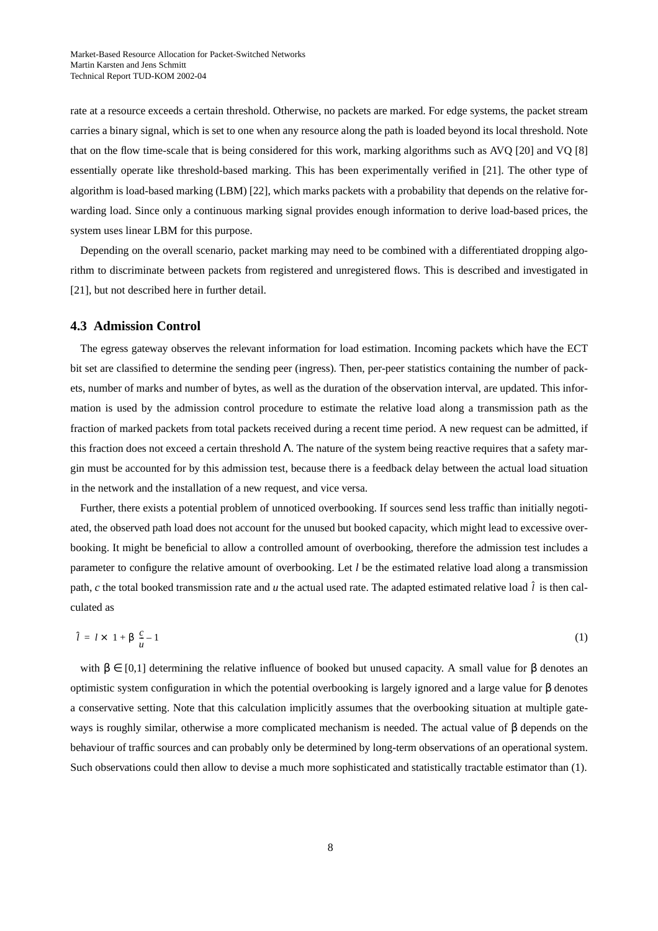<span id="page-7-0"></span>rate at a resource exceeds a certain threshold. Otherwise, no packets are marked. For edge systems, the packet stream carries a binary signal, which is set to one when any resource along the path is loaded beyond its local threshold. Note that on the flow time-scale that is being considered for this work, marking algorithms such as AVQ [20] and VQ [8] essentially operate like threshold-based marking. This has been experimentally verified in [21]. The other type of algorithm is load-based marking (LBM) [22], which marks packets with a probability that depends on the relative forwarding load. Since only a continuous marking signal provides enough information to derive load-based prices, the system uses linear LBM for this purpose.

Depending on the overall scenario, packet marking may need to be combined with a differentiated dropping algorithm to discriminate between packets from registered and unregistered flows. This is described and investigated in [21], but not described here in further detail.

## **4.3 Admission Control**

The egress gateway observes the relevant information for load estimation. Incoming packets which have the ECT bit set are classified to determine the sending peer (ingress). Then, per-peer statistics containing the number of packets, number of marks and number of bytes, as well as the duration of the observation interval, are updated. This information is used by the admission control procedure to estimate the relative load along a transmission path as the fraction of marked packets from total packets received during a recent time period. A new request can be admitted, if this fraction does not exceed a certain threshold Λ. The nature of the system being reactive requires that a safety margin must be accounted for by this admission test, because there is a feedback delay between the actual load situation in the network and the installation of a new request, and vice versa.

Further, there exists a potential problem of unnoticed overbooking. If sources send less traffic than initially negotiated, the observed path load does not account for the unused but booked capacity, which might lead to excessive overbooking. It might be beneficial to allow a controlled amount of overbooking, therefore the admission test includes a parameter to configure the relative amount of overbooking. Let *l* be the estimated relative load along a transmission path,  $c$  the total booked transmission rate and  $u$  the actual used rate. The adapted estimated relative load  $\hat{l}$  is then calculated as

$$
\hat{l} = l \times \left(1 + \beta \left(\frac{c}{u} - 1\right)\right) \tag{1}
$$

with  $β ∈ [0,1]$  determining the relative influence of booked but unused capacity. A small value for  $β$  denotes an optimistic system configuration in which the potential overbooking is largely ignored and a large value for β denotes a conservative setting. Note that this calculation implicitly assumes that the overbooking situation at multiple gateways is roughly similar, otherwise a more complicated mechanism is needed. The actual value of β depends on the behaviour of traffic sources and can probably only be determined by long-term observations of an operational system. Such observations could then allow to devise a much more sophisticated and statistically tractable estimator than (1).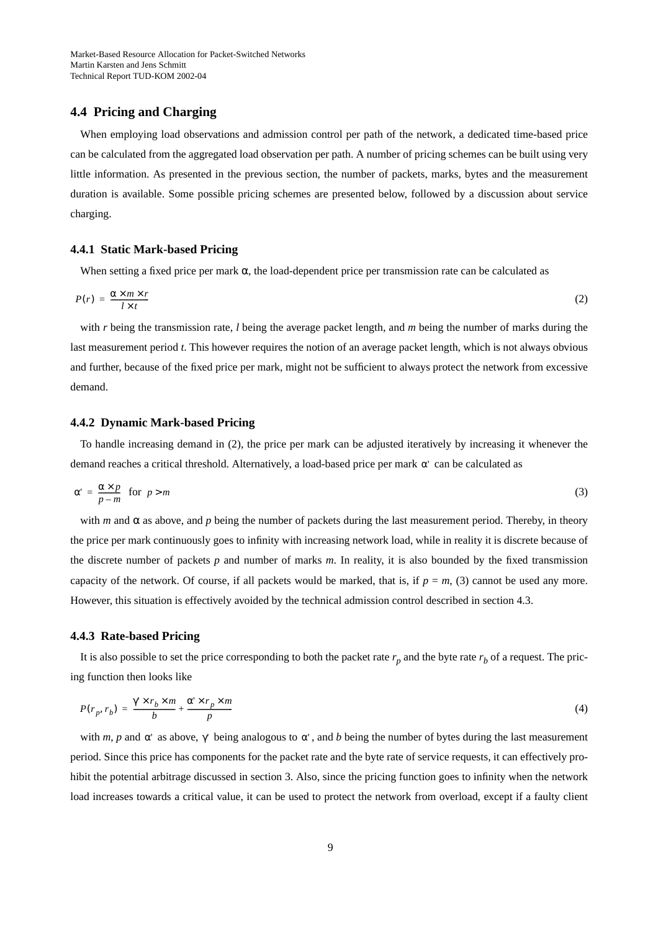## <span id="page-8-0"></span>**4.4 Pricing and Charging**

When employing load observations and admission control per path of the network, a dedicated time-based price can be calculated from the aggregated load observation per path. A number of pricing schemes can be built using very little information. As presented in the previous section, the number of packets, marks, bytes and the measurement duration is available. Some possible pricing schemes are presented below, followed by a discussion about service charging.

#### **4.4.1 Static Mark-based Pricing**

When setting a fixed price per mark  $\alpha$ , the load-dependent price per transmission rate can be calculated as

$$
P(r) = \frac{\alpha \times m \times r}{l \times t} \tag{2}
$$

with *r* being the transmission rate, *l* being the average packet length, and *m* being the number of marks during the last measurement period *t*. This however requires the notion of an average packet length, which is not always obvious and further, because of the fixed price per mark, might not be sufficient to always protect the network from excessive demand.

#### **4.4.2 Dynamic Mark-based Pricing**

To handle increasing demand in (2), the price per mark can be adjusted iteratively by increasing it whenever the demand reaches a critical threshold. Alternatively, a load-based price per mark  $\alpha'$  can be calculated as

$$
\alpha' = \frac{\alpha \times p}{p - m} \quad \text{for} \quad p > m
$$
\n<sup>(3)</sup>

with *m* and  $\alpha$  as above, and *p* being the number of packets during the last measurement period. Thereby, in theory the price per mark continuously goes to infinity with increasing network load, while in reality it is discrete because of the discrete number of packets *p* and number of marks *m*. In reality, it is also bounded by the fixed transmission capacity of the network. Of course, if all packets would be marked, that is, if  $p = m$ , (3) cannot be used any more. However, this situation is effectively avoided by the technical admission control described in secti[on 4.3.](#page-7-0)

#### **4.4.3 Rate-based Pricing**

It is also possible to set the price corresponding to both the packet rate  $r_p$  and the byte rate  $r_b$  of a request. The pricing function then looks like

$$
P(r_p, r_b) = \frac{\gamma' \times r_b \times m}{b} + \frac{\alpha' \times r_p \times m}{p}
$$
\n<sup>(4)</sup>

with *m*, *p* and  $\alpha'$  as above,  $\gamma'$  being analogous to  $\alpha'$ , and *b* being the number of bytes during the last measurement period. Since this price has components for the packet rate and the byte rate of service requests, it can effectively prohibit the potential arbitrage discussed in [section 3](#page-4-0). Also, since the pricing function goes to infinity when the network load increases towards a critical value, it can be used to protect the network from overload, except if a faulty client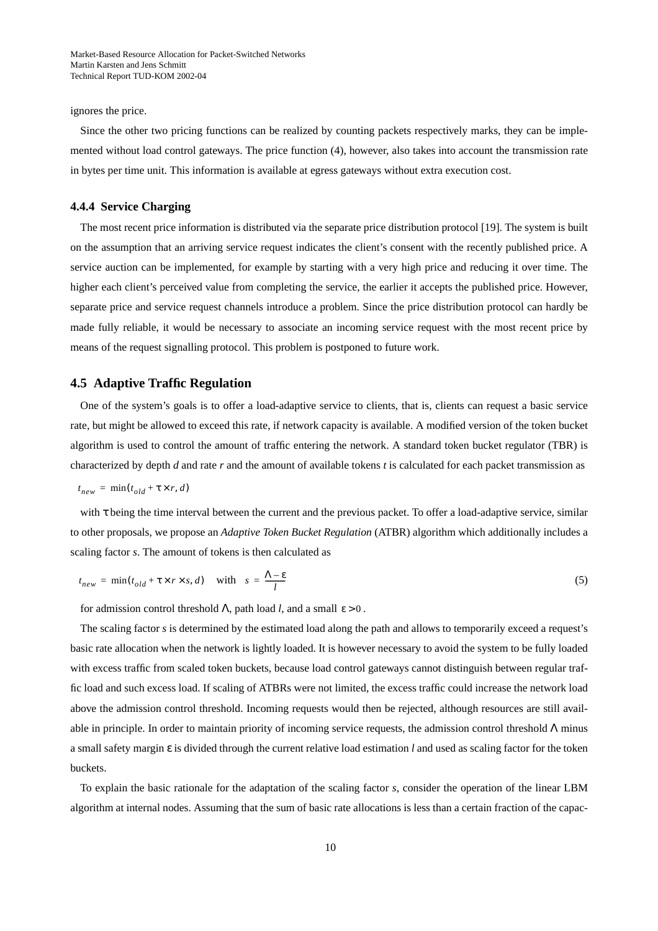<span id="page-9-0"></span>ignores the price.

Since the other two pricing functions can be realized by counting packets respectively marks, they can be implemented without load control gateways. The price function [\(4\),](#page-8-0) however, also takes into account the transmission rate in bytes per time unit. This information is available at egress gateways without extra execution cost.

#### **4.4.4 Service Charging**

The most recent price information is distributed via the separate price distribution protocol [19]. The system is built on the assumption that an arriving service request indicates the client's consent with the recently published price. A service auction can be implemented, for example by starting with a very high price and reducing it over time. The higher each client's perceived value from completing the service, the earlier it accepts the published price. However, separate price and service request channels introduce a problem. Since the price distribution protocol can hardly be made fully reliable, it would be necessary to associate an incoming service request with the most recent price by means of the request signalling protocol. This problem is postponed to future work.

### **4.5 Adaptive Traffic Regulation**

One of the system's goals is to offer a load-adaptive service to clients, that is, clients can request a basic service rate, but might be allowed to exceed this rate, if network capacity is available. A modified version of the token bucket algorithm is used to control the amount of traffic entering the network. A standard token bucket regulator (TBR) is characterized by depth *d* and rate *r* and the amount of available tokens *t* is calculated for each packet transmission as

$$
t_{new} = \min(t_{old} + \tau \times r, d)
$$

with τ being the time interval between the current and the previous packet. To offer a load-adaptive service, similar to other proposals, we propose an *Adaptive Token Bucket Regulation* (ATBR) algorithm which additionally includes a scaling factor *s*. The amount of tokens is then calculated as

$$
t_{new} = \min(t_{old} + \tau \times r \times s, d) \quad \text{with} \quad s = \frac{\Lambda - \epsilon}{l} \tag{5}
$$

for admission control threshold  $\Lambda$ , path load *l*, and a small  $\varepsilon > 0$ .

The scaling factor *s* is determined by the estimated load along the path and allows to temporarily exceed a request's basic rate allocation when the network is lightly loaded. It is however necessary to avoid the system to be fully loaded with excess traffic from scaled token buckets, because load control gateways cannot distinguish between regular traffic load and such excess load. If scaling of ATBRs were not limited, the excess traffic could increase the network load above the admission control threshold. Incoming requests would then be rejected, although resources are still available in principle. In order to maintain priority of incoming service requests, the admission control threshold Λ minus a small safety margin ε is divided through the current relative load estimation *l* and used as scaling factor for the token buckets.

To explain the basic rationale for the adaptation of the scaling factor *s*, consider the operation of the linear LBM algorithm at internal nodes. Assuming that the sum of basic rate allocations is less than a certain fraction of the capac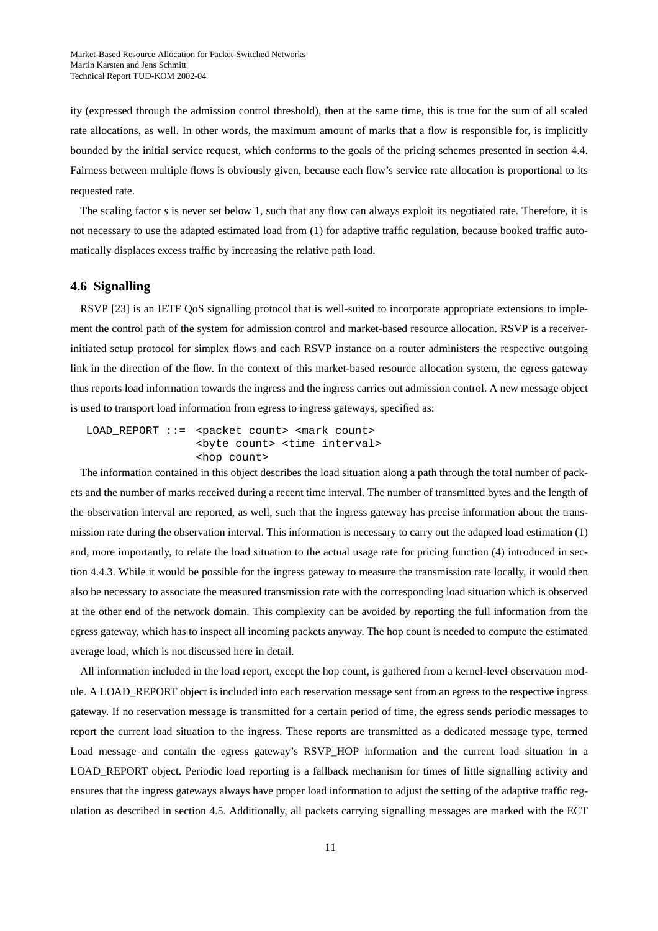ity (expressed through the admission control threshold), then at the same time, this is true for the sum of all scaled rate allocations, as well. In other words, the maximum amount of marks that a flow is responsible for, is implicitly bounded by the initial service request, which conforms to the goals of the pricing schemes presented in [section 4.4](#page-8-0). Fairness between multiple flows is obviously given, because each flow's service rate allocation is proportional to its requested rate.

The scaling factor *s* is never set below 1, such that any flow can always exploit its negotiated rate. Therefore, it is not necessary to use the adapted estimated load from [\(1\)](#page-7-0) for adaptive traffic regulation, because booked traffic automatically displaces excess traffic by increasing the relative path load.

### **4.6 Signalling**

RSVP [23] is an IETF QoS signalling protocol that is well-suited to incorporate appropriate extensions to implement the control path of the system for admission control and market-based resource allocation. RSVP is a receiverinitiated setup protocol for simplex flows and each RSVP instance on a router administers the respective outgoing link in the direction of the flow. In the context of this market-based resource allocation system, the egress gateway thus reports load information towards the ingress and the ingress carries out admission control. A new message object is used to transport load information from egress to ingress gateways, specified as:

LOAD REPORT ::= <packet count> <mark count> <byte count> <time interval> <hop count>

The information contained in this object describes the load situation along a path through the total number of packets and the number of marks received during a recent time interval. The number of transmitted bytes and the length of the observation interval are reported, as well, such that the ingress gateway has precise information about the transmission rate during the observation interval. This information is necessary to carry out the adapted load estimation [\(1\)](#page-7-0) and, more importantly, to relate the load situation to the actual usage rate for pricing function [\(4\)](#page-8-0) introduced in [sec](#page-8-0)[tion 4.4.3.](#page-8-0) While it would be possible for the ingress gateway to measure the transmission rate locally, it would then also be necessary to associate the measured transmission rate with the corresponding load situation which is observed at the other end of the network domain. This complexity can be avoided by reporting the full information from the egress gateway, which has to inspect all incoming packets anyway. The hop count is needed to compute the estimated average load, which is not discussed here in detail.

All information included in the load report, except the hop count, is gathered from a kernel-level observation module. A LOAD\_REPORT object is included into each reservation message sent from an egress to the respective ingress gateway. If no reservation message is transmitted for a certain period of time, the egress sends periodic messages to report the current load situation to the ingress. These reports are transmitted as a dedicated message type, termed Load message and contain the egress gateway's RSVP\_HOP information and the current load situation in a LOAD REPORT object. Periodic load reporting is a fallback mechanism for times of little signalling activity and ensures that the ingress gateways always have proper load information to adjust the setting of the adaptive traffic regulation as described in [section 4.5](#page-9-0). Additionally, all packets carrying signalling messages are marked with the ECT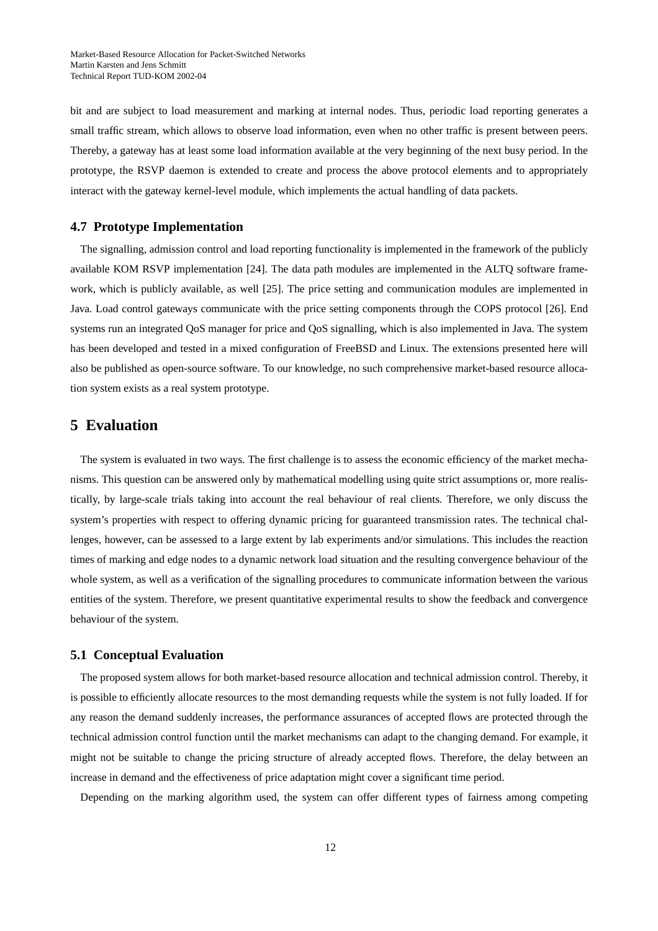<span id="page-11-0"></span>bit and are subject to load measurement and marking at internal nodes. Thus, periodic load reporting generates a small traffic stream, which allows to observe load information, even when no other traffic is present between peers. Thereby, a gateway has at least some load information available at the very beginning of the next busy period. In the prototype, the RSVP daemon is extended to create and process the above protocol elements and to appropriately interact with the gateway kernel-level module, which implements the actual handling of data packets.

#### **4.7 Prototype Implementation**

The signalling, admission control and load reporting functionality is implemented in the framework of the publicly available KOM RSVP implementation [24]. The data path modules are implemented in the ALTQ software framework, which is publicly available, as well [25]. The price setting and communication modules are implemented in Java. Load control gateways communicate with the price setting components through the COPS protocol [26]. End systems run an integrated QoS manager for price and QoS signalling, which is also implemented in Java. The system has been developed and tested in a mixed configuration of FreeBSD and Linux. The extensions presented here will also be published as open-source software. To our knowledge, no such comprehensive market-based resource allocation system exists as a real system prototype.

# **5 Evaluation**

The system is evaluated in two ways. The first challenge is to assess the economic efficiency of the market mechanisms. This question can be answered only by mathematical modelling using quite strict assumptions or, more realistically, by large-scale trials taking into account the real behaviour of real clients. Therefore, we only discuss the system's properties with respect to offering dynamic pricing for guaranteed transmission rates. The technical challenges, however, can be assessed to a large extent by lab experiments and/or simulations. This includes the reaction times of marking and edge nodes to a dynamic network load situation and the resulting convergence behaviour of the whole system, as well as a verification of the signalling procedures to communicate information between the various entities of the system. Therefore, we present quantitative experimental results to show the feedback and convergence behaviour of the system.

## **5.1 Conceptual Evaluation**

The proposed system allows for both market-based resource allocation and technical admission control. Thereby, it is possible to efficiently allocate resources to the most demanding requests while the system is not fully loaded. If for any reason the demand suddenly increases, the performance assurances of accepted flows are protected through the technical admission control function until the market mechanisms can adapt to the changing demand. For example, it might not be suitable to change the pricing structure of already accepted flows. Therefore, the delay between an increase in demand and the effectiveness of price adaptation might cover a significant time period.

Depending on the marking algorithm used, the system can offer different types of fairness among competing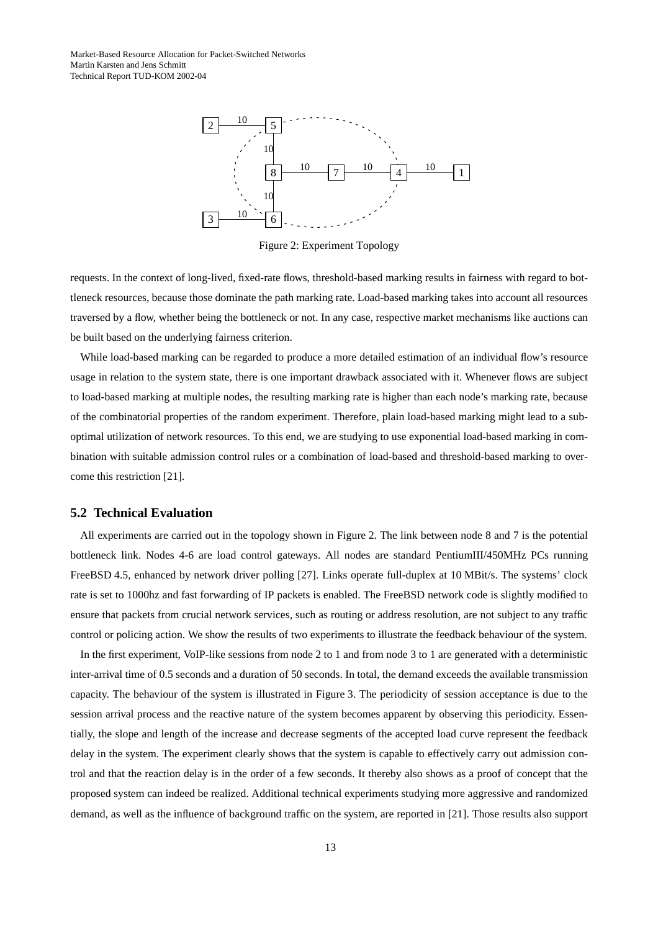

Figure 2: Experiment Topology

requests. In the context of long-lived, fixed-rate flows, threshold-based marking results in fairness with regard to bottleneck resources, because those dominate the path marking rate. Load-based marking takes into account all resources traversed by a flow, whether being the bottleneck or not. In any case, respective market mechanisms like auctions can be built based on the underlying fairness criterion.

While load-based marking can be regarded to produce a more detailed estimation of an individual flow's resource usage in relation to the system state, there is one important drawback associated with it. Whenever flows are subject to load-based marking at multiple nodes, the resulting marking rate is higher than each node's marking rate, because of the combinatorial properties of the random experiment. Therefore, plain load-based marking might lead to a suboptimal utilization of network resources. To this end, we are studying to use exponential load-based marking in combination with suitable admission control rules or a combination of load-based and threshold-based marking to overcome this restriction [21].

#### **5.2 Technical Evaluation**

All experiments are carried out in the topology shown in Figure 2. The link between node 8 and 7 is the potential bottleneck link. Nodes 4-6 are load control gateways. All nodes are standard PentiumIII/450MHz PCs running FreeBSD 4.5, enhanced by network driver polling [27]. Links operate full-duplex at 10 MBit/s. The systems' clock rate is set to 1000hz and fast forwarding of IP packets is enabled. The FreeBSD network code is slightly modified to ensure that packets from crucial network services, such as routing or address resolution, are not subject to any traffic control or policing action. We show the results of two experiments to illustrate the feedback behaviour of the system.

In the first experiment, VoIP-like sessions from node 2 to 1 and from node 3 to 1 are generated with a deterministic inter-arrival time of 0.5 seconds and a duration of 50 seconds. In total, the demand exceeds the available transmission capacity. The behaviour of the system is illustrated in [Figure 3.](#page-13-0) The periodicity of session acceptance is due to the session arrival process and the reactive nature of the system becomes apparent by observing this periodicity. Essentially, the slope and length of the increase and decrease segments of the accepted load curve represent the feedback delay in the system. The experiment clearly shows that the system is capable to effectively carry out admission control and that the reaction delay is in the order of a few seconds. It thereby also shows as a proof of concept that the proposed system can indeed be realized. Additional technical experiments studying more aggressive and randomized demand, as well as the influence of background traffic on the system, are reported in [21]. Those results also support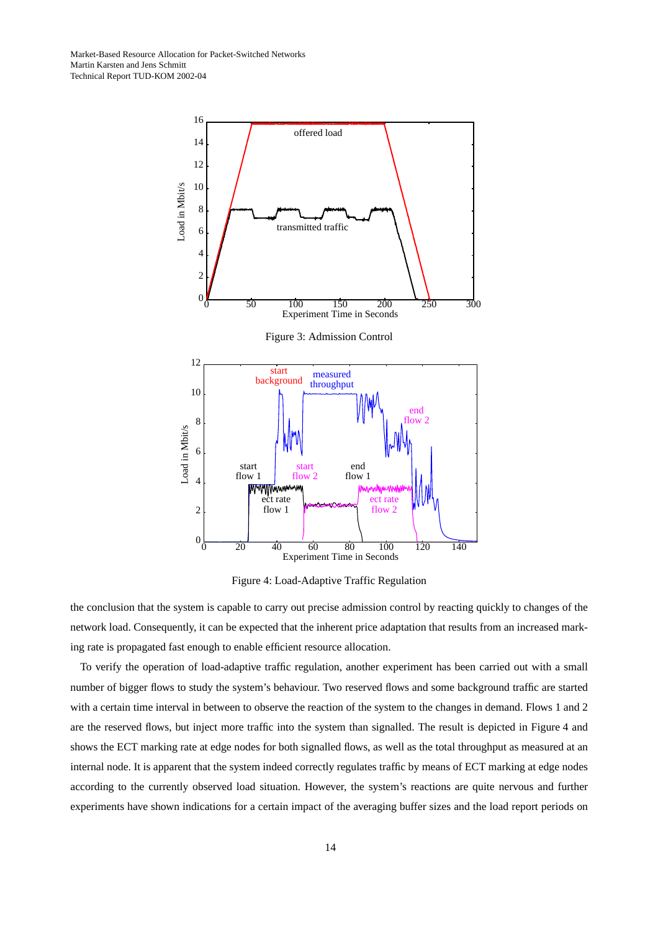<span id="page-13-0"></span>

Figure 4: Load-Adaptive Traffic Regulation

the conclusion that the system is capable to carry out precise admission control by reacting quickly to changes of the network load. Consequently, it can be expected that the inherent price adaptation that results from an increased marking rate is propagated fast enough to enable efficient resource allocation.

To verify the operation of load-adaptive traffic regulation, another experiment has been carried out with a small number of bigger flows to study the system's behaviour. Two reserved flows and some background traffic are started with a certain time interval in between to observe the reaction of the system to the changes in demand. Flows 1 and 2 are the reserved flows, but inject more traffic into the system than signalled. The result is depicted in Figure 4 and shows the ECT marking rate at edge nodes for both signalled flows, as well as the total throughput as measured at an internal node. It is apparent that the system indeed correctly regulates traffic by means of ECT marking at edge nodes according to the currently observed load situation. However, the system's reactions are quite nervous and further experiments have shown indications for a certain impact of the averaging buffer sizes and the load report periods on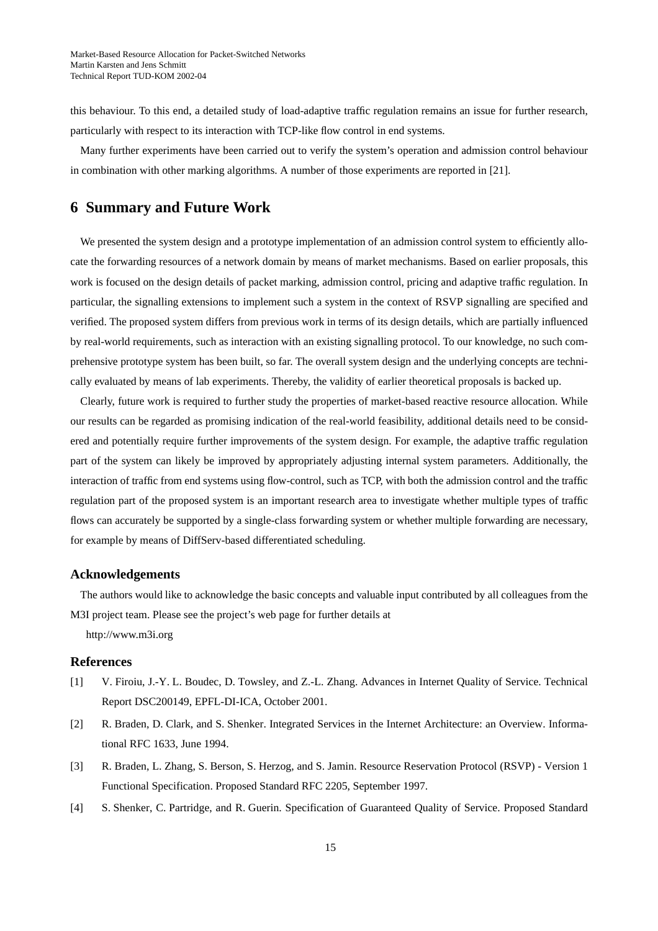<span id="page-14-0"></span>this behaviour. To this end, a detailed study of load-adaptive traffic regulation remains an issue for further research, particularly with respect to its interaction with TCP-like flow control in end systems.

Many further experiments have been carried out to verify the system's operation and admission control behaviour in combination with other marking algorithms. A number of those experiments are reported in [21].

# **6 Summary and Future Work**

We presented the system design and a prototype implementation of an admission control system to efficiently allocate the forwarding resources of a network domain by means of market mechanisms. Based on earlier proposals, this work is focused on the design details of packet marking, admission control, pricing and adaptive traffic regulation. In particular, the signalling extensions to implement such a system in the context of RSVP signalling are specified and verified. The proposed system differs from previous work in terms of its design details, which are partially influenced by real-world requirements, such as interaction with an existing signalling protocol. To our knowledge, no such comprehensive prototype system has been built, so far. The overall system design and the underlying concepts are technically evaluated by means of lab experiments. Thereby, the validity of earlier theoretical proposals is backed up.

Clearly, future work is required to further study the properties of market-based reactive resource allocation. While our results can be regarded as promising indication of the real-world feasibility, additional details need to be considered and potentially require further improvements of the system design. For example, the adaptive traffic regulation part of the system can likely be improved by appropriately adjusting internal system parameters. Additionally, the interaction of traffic from end systems using flow-control, such as TCP, with both the admission control and the traffic regulation part of the proposed system is an important research area to investigate whether multiple types of traffic flows can accurately be supported by a single-class forwarding system or whether multiple forwarding are necessary, for example by means of DiffServ-based differentiated scheduling.

## **Acknowledgements**

The authors would like to acknowledge the basic concepts and valuable input contributed by all colleagues from the M3I project team. Please see the project's web page for further details at

http://www.m3i.org

## **References**

- [1] V. Firoiu, J.-Y. L. Boudec, D. Towsley, and Z.-L. Zhang. Advances in Internet Quality of Service. Technical Report DSC200149, EPFL-DI-ICA, October 2001.
- [2] R. Braden, D. Clark, and S. Shenker. Integrated Services in the Internet Architecture: an Overview. Informational RFC 1633, June 1994.
- [3] R. Braden, L. Zhang, S. Berson, S. Herzog, and S. Jamin. Resource Reservation Protocol (RSVP) Version 1 Functional Specification. Proposed Standard RFC 2205, September 1997.
- [4] S. Shenker, C. Partridge, and R. Guerin. Specification of Guaranteed Quality of Service. Proposed Standard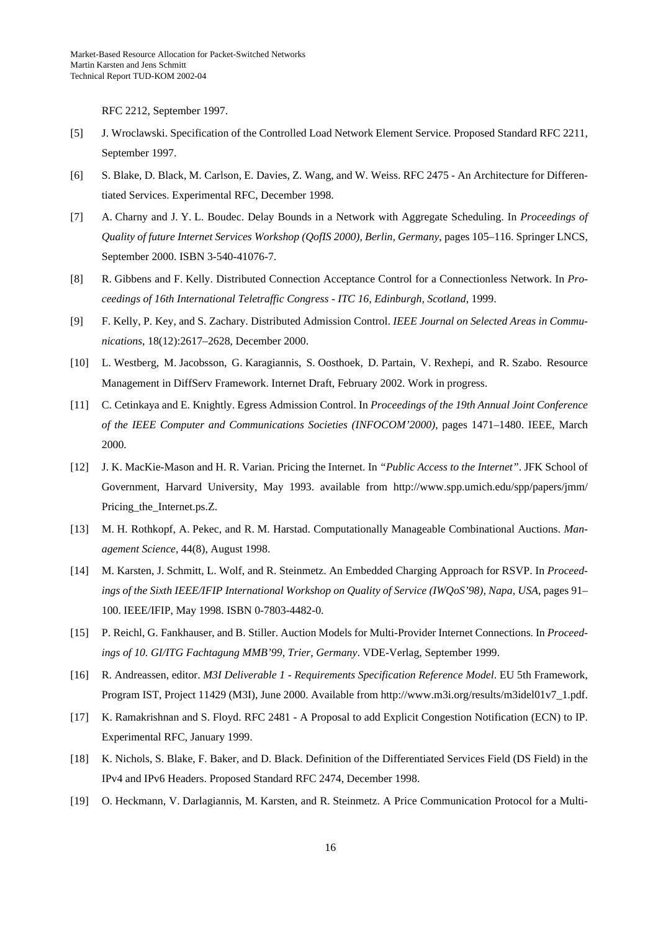RFC 2212, September 1997.

- [5] J. Wroclawski. Specification of the Controlled Load Network Element Service. Proposed Standard RFC 2211, September 1997.
- [6] S. Blake, D. Black, M. Carlson, E. Davies, Z. Wang, and W. Weiss. RFC 2475 An Architecture for Differentiated Services. Experimental RFC, December 1998.
- [7] A. Charny and J. Y. L. Boudec. Delay Bounds in a Network with Aggregate Scheduling. In *Proceedings of Quality of future Internet Services Workshop (QofIS 2000), Berlin, Germany*, pages 105–116. Springer LNCS, September 2000. ISBN 3-540-41076-7.
- [8] R. Gibbens and F. Kelly. Distributed Connection Acceptance Control for a Connectionless Network. In *Proceedings of 16th International Teletraffic Congress - ITC 16, Edinburgh, Scotland*, 1999.
- [9] F. Kelly, P. Key, and S. Zachary. Distributed Admission Control. *IEEE Journal on Selected Areas in Communications*, 18(12):2617–2628, December 2000.
- [10] L. Westberg, M. Jacobsson, G. Karagiannis, S. Oosthoek, D. Partain, V. Rexhepi, and R. Szabo. Resource Management in DiffServ Framework. Internet Draft, February 2002. Work in progress.
- [11] C. Cetinkaya and E. Knightly. Egress Admission Control. In *Proceedings of the 19th Annual Joint Conference of the IEEE Computer and Communications Societies (INFOCOM'2000)*, pages 1471–1480. IEEE, March 2000.
- [12] J. K. MacKie-Mason and H. R. Varian. Pricing the Internet. In *"Public Access to the Internet"*. JFK School of Government, Harvard University, May 1993. available from http://www.spp.umich.edu/spp/papers/jmm/ Pricing\_the\_Internet.ps.Z.
- [13] M. H. Rothkopf, A. Pekec, and R. M. Harstad. Computationally Manageable Combinational Auctions. *Management Science*, 44(8), August 1998.
- [14] M. Karsten, J. Schmitt, L. Wolf, and R. Steinmetz. An Embedded Charging Approach for RSVP. In *Proceedings of the Sixth IEEE/IFIP International Workshop on Quality of Service (IWQoS'98), Napa, USA*, pages 91– 100. IEEE/IFIP, May 1998. ISBN 0-7803-4482-0.
- [15] P. Reichl, G. Fankhauser, and B. Stiller. Auction Models for Multi-Provider Internet Connections. In *Proceedings of 10. GI/ITG Fachtagung MMB'99, Trier, Germany*. VDE-Verlag, September 1999.
- [16] R. Andreassen, editor. *M3I Deliverable 1 Requirements Specification Reference Model*. EU 5th Framework, Program IST, Project 11429 (M3I), June 2000. Available from http://www.m3i.org/results/m3idel01v7\_1.pdf.
- [17] K. Ramakrishnan and S. Floyd. RFC 2481 A Proposal to add Explicit Congestion Notification (ECN) to IP. Experimental RFC, January 1999.
- [18] K. Nichols, S. Blake, F. Baker, and D. Black. Definition of the Differentiated Services Field (DS Field) in the IPv4 and IPv6 Headers. Proposed Standard RFC 2474, December 1998.
- [19] O. Heckmann, V. Darlagiannis, M. Karsten, and R. Steinmetz. A Price Communication Protocol for a Multi-